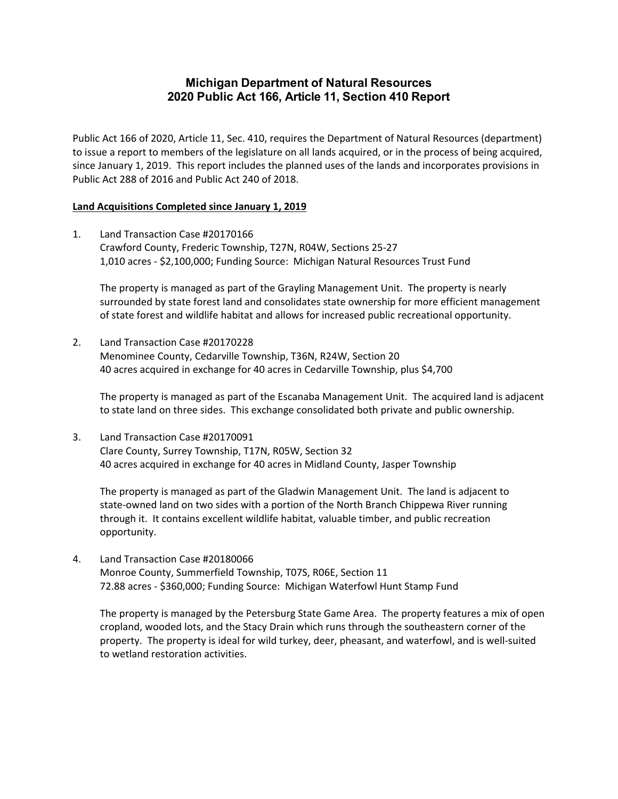# **2020 Public Act 166, Article 11, Section 410 Report Michigan Department of Natural Resources**

 Public Act 166 of 2020, Article 11, Sec. 410, requires the Department of Natural Resources (department) to issue a report to members of the legislature on all lands acquired, or in the process of being acquired, since January 1, 2019. This report includes the planned uses of the lands and incorporates provisions in Public Act 288 of 2016 and Public Act 240 of 2018.

#### **Land Acquisitions Completed since January 1, 2019**

 1. Land Transaction Case #20170166 Crawford County, Frederic Township, T27N, R04W, Sections 25‐27 1,010 acres ‐ \$2,100,000; Funding Source: Michigan Natural Resources Trust Fund

 The property is managed as part of the Grayling Management Unit. The property is nearly surrounded by state forest land and consolidates state ownership for more efficient management of state forest and wildlife habitat and allows for increased public recreational opportunity.

 2. Land Transaction Case #20170228 Menominee County, Cedarville Township, T36N, R24W, Section 20 40 acres acquired in exchange for 40 acres in Cedarville Township, plus \$4,700

 The property is managed as part of the Escanaba Management Unit. The acquired land is adjacent to state land on three sides. This exchange consolidated both private and public ownership.

 3. Land Transaction Case #20170091 Clare County, Surrey Township, T17N, R05W, Section 32 40 acres acquired in exchange for 40 acres in Midland County, Jasper Township

 The property is managed as part of the Gladwin Management Unit. The land is adjacent to state‐owned land on two sides with a portion of the North Branch Chippewa River running through it. It contains excellent wildlife habitat, valuable timber, and public recreation opportunity.

 4. Land Transaction Case #20180066 Monroe County, Summerfield Township, T07S, R06E, Section 11 72.88 acres ‐ \$360,000; Funding Source: Michigan Waterfowl Hunt Stamp Fund

 The property is managed by the Petersburg State Game Area. The property features a mix of open cropland, wooded lots, and the Stacy Drain which runs through the southeastern corner of the property. The property is ideal for wild turkey, deer, pheasant, and waterfowl, and is well‐suited to wetland restoration activities.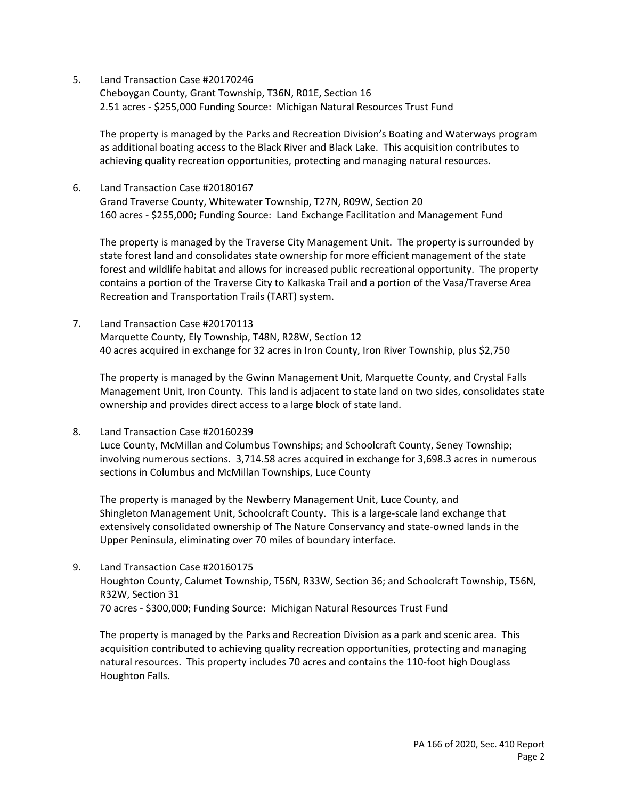Cheboygan County, Grant Township, T36N, R01E, Section 16 2.51 acres ‐ \$255,000 Funding Source: Michigan Natural Resources Trust Fund

 The property is managed by the Parks and Recreation Division's Boating and Waterways program as additional boating access to the Black River and Black Lake. This acquisition contributes to achieving quality recreation opportunities, protecting and managing natural resources.

 6. Land Transaction Case #20180167 Grand Traverse County, Whitewater Township, T27N, R09W, Section 20 160 acres ‐ \$255,000; Funding Source: Land Exchange Facilitation and Management Fund

 The property is managed by the Traverse City Management Unit. The property is surrounded by state forest land and consolidates state ownership for more efficient management of the state forest and wildlife habitat and allows for increased public recreational opportunity. The property contains a portion of the Traverse City to Kalkaska Trail and a portion of the Vasa/Traverse Area Recreation and Transportation Trails (TART) system.

 7. Land Transaction Case #20170113 Marquette County, Ely Township, T48N, R28W, Section 12 40 acres acquired in exchange for 32 acres in Iron County, Iron River Township, plus \$2,750

 The property is managed by the Gwinn Management Unit, Marquette County, and Crystal Falls Management Unit, Iron County. This land is adjacent to state land on two sides, consolidates state ownership and provides direct access to a large block of state land.

8. Land Transaction Case #20160239

 Luce County, McMillan and Columbus Townships; and Schoolcraft County, Seney Township; involving numerous sections. [3,714.58](https://3,714.58) acres acquired in exchange for 3,698.3 acres in numerous sections in Columbus and McMillan Townships, Luce County

 The property is managed by the Newberry Management Unit, Luce County, and Shingleton Management Unit, Schoolcraft County. This is a large‐scale land exchange that extensively consolidated ownership of The Nature Conservancy and state‐owned lands in the Upper Peninsula, eliminating over 70 miles of boundary interface.

 9. Land Transaction Case #20160175 Houghton County, Calumet Township, T56N, R33W, Section 36; and Schoolcraft Township, T56N, R32W, Section 31 70 acres ‐ \$300,000; Funding Source: Michigan Natural Resources Trust Fund

 The property is managed by the Parks and Recreation Division as a park and scenic area. This acquisition contributed to achieving quality recreation opportunities, protecting and managing natural resources. This property includes 70 acres and contains the 110‐foot high Douglass Houghton Falls.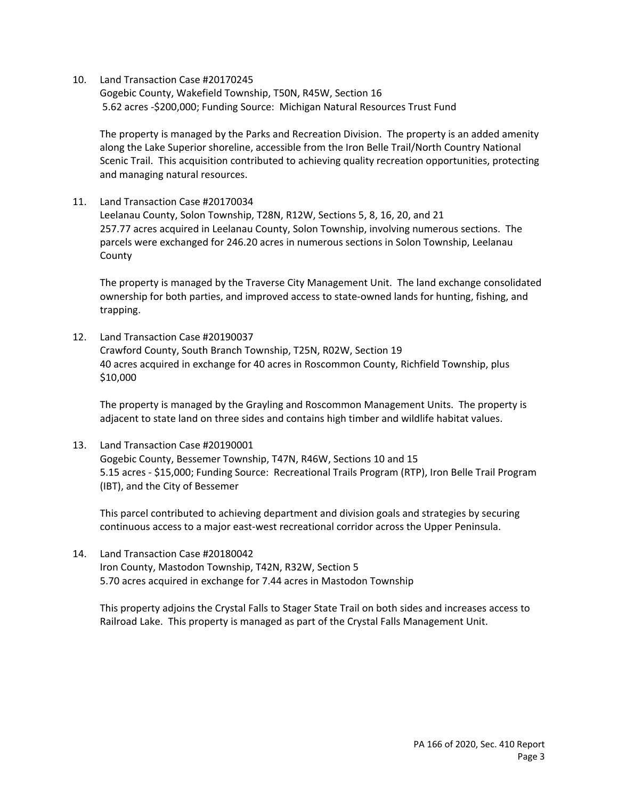Gogebic County, Wakefield Township, T50N, R45W, Section 16 5.62 acres ‐\$200,000; Funding Source: Michigan Natural Resources Trust Fund

 The property is managed by the Parks and Recreation Division. The property is an added amenity along the Lake Superior shoreline, accessible from the Iron Belle Trail/North Country National Scenic Trail. This acquisition contributed to achieving quality recreation opportunities, protecting and managing natural resources.

11. Land Transaction Case #20170034

 Leelanau County, Solon Township, T28N, R12W, Sections 5, 8, 16, 20, and 21 257.77 acres acquired in Leelanau County, Solon Township, involving numerous sections. The parcels were exchanged for 246.20 acres in numerous sections in Solon Township, Leelanau County

 The property is managed by the Traverse City Management Unit. The land exchange consolidated ownership for both parties, and improved access to state‐owned lands for hunting, fishing, and trapping.

 12. Land Transaction Case #20190037 Crawford County, South Branch Township, T25N, R02W, Section 19 40 acres acquired in exchange for 40 acres in Roscommon County, Richfield Township, plus \$10,000

 The property is managed by the Grayling and Roscommon Management Units. The property is adjacent to state land on three sides and contains high timber and wildlife habitat values.

 13. Land Transaction Case #20190001 Gogebic County, Bessemer Township, T47N, R46W, Sections 10 and 15 5.15 acres ‐ \$15,000; Funding Source: Recreational Trails Program (RTP), Iron Belle Trail Program (IBT), and the City of Bessemer

 This parcel contributed to achieving department and division goals and strategies by securing continuous access to a major east‐west recreational corridor across the Upper Peninsula.

 14. Land Transaction Case #20180042 Iron County, Mastodon Township, T42N, R32W, Section 5 5.70 acres acquired in exchange for 7.44 acres in Mastodon Township

 This property adjoins the Crystal Falls to Stager State Trail on both sides and increases access to Railroad Lake. This property is managed as part of the Crystal Falls Management Unit.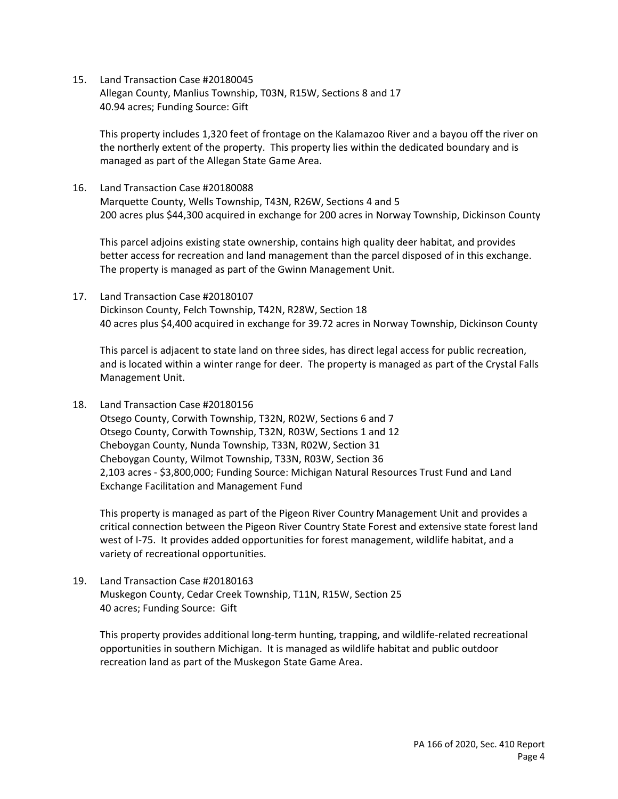15. Land Transaction Case #20180045 Allegan County, Manlius Township, T03N, R15W, Sections 8 and 17 40.94 acres; Funding Source: Gift

 This property includes 1,320 feet of frontage on the Kalamazoo River and a bayou off the river on the northerly extent of the property. This property lies within the dedicated boundary and is managed as part of the Allegan State Game Area.

 16. Land Transaction Case #20180088 Marquette County, Wells Township, T43N, R26W, Sections 4 and 5 200 acres plus \$44,300 acquired in exchange for 200 acres in Norway Township, Dickinson County

 This parcel adjoins existing state ownership, contains high quality deer habitat, and provides better access for recreation and land management than the parcel disposed of in this exchange. The property is managed as part of the Gwinn Management Unit.

 17. Land Transaction Case #20180107 Dickinson County, Felch Township, T42N, R28W, Section 18 40 acres plus \$4,400 acquired in exchange for 39.72 acres in Norway Township, Dickinson County

 This parcel is adjacent to state land on three sides, has direct legal access for public recreation, and is located within a winter range for deer. The property is managed as part of the Crystal Falls Management Unit.

18. Land Transaction Case #20180156

 Otsego County, Corwith Township, T32N, R02W, Sections 6 and 7 Cheboygan County, Nunda Township, T33N, R02W, Section 31 2,103 acres ‐ \$3,800,000; Funding Source: Michigan Natural Resources Trust Fund and Land Exchange Facilitation and Management Fund Otsego County, Corwith Township, T32N, R03W, Sections 1 and 12 Cheboygan County, Wilmot Township, T33N, R03W, Section 36

 This property is managed as part of the Pigeon River Country Management Unit and provides a critical connection between the Pigeon River Country State Forest and extensive state forest land west of I‐75. It provides added opportunities for forest management, wildlife habitat, and a variety of recreational opportunities.

 19. Land Transaction Case #20180163 Muskegon County, Cedar Creek Township, T11N, R15W, Section 25 40 acres; Funding Source: Gift

 This property provides additional long‐term hunting, trapping, and wildlife‐related recreational opportunities in southern Michigan. It is managed as wildlife habitat and public outdoor recreation land as part of the Muskegon State Game Area.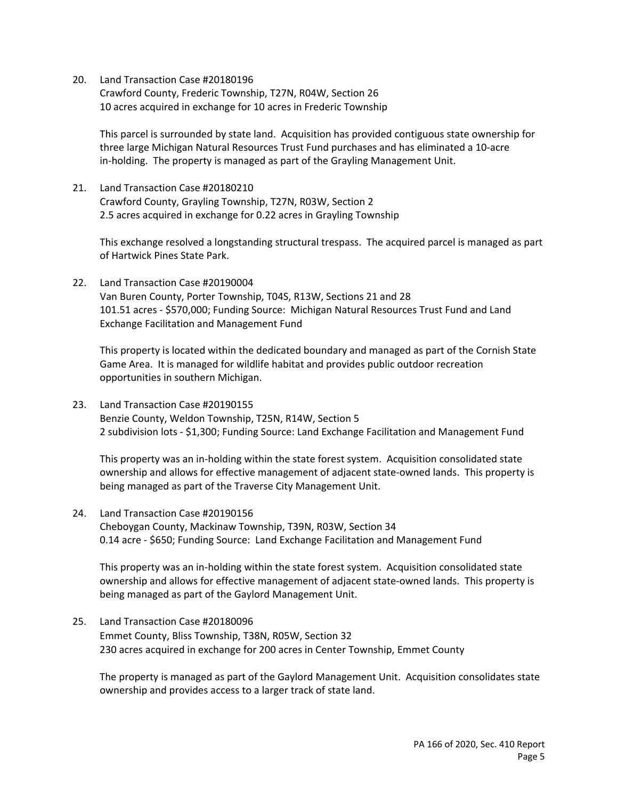20. Land Transaction Case #20180196 Crawford County, Frederic Township, T27N, R04W, Section 26 10 acres acquired in exchange for 10 acres in Frederic Township

 This parcel is surrounded by state land. Acquisition has provided contiguous state ownership for three large Michigan Natural Resources Trust Fund purchases and has eliminated a 10‐acre in‐holding. The property is managed as part of the Grayling Management Unit.

 21. Land Transaction Case #20180210 Crawford County, Grayling Township, T27N, R03W, Section 2 2.5 acres acquired in exchange for 0.22 acres in Grayling Township

 This exchange resolved a longstanding structural trespass. The acquired parcel is managed as part of Hartwick Pines State Park.

 22. Land Transaction Case #20190004 Van Buren County, Porter Township, T04S, R13W, Sections 21 and 28 101.51 acres ‐ \$570,000; Funding Source: Michigan Natural Resources Trust Fund and Land Exchange Facilitation and Management Fund

 This property is located within the dedicated boundary and managed as part of the Cornish State Game Area. It is managed for wildlife habitat and provides public outdoor recreation opportunities in southern Michigan.

 23. Land Transaction Case #20190155 Benzie County, Weldon Township, T25N, R14W, Section 5 2 subdivision lots ‐ \$1,300; Funding Source: Land Exchange Facilitation and Management Fund

 This property was an in‐holding within the state forest system. Acquisition consolidated state ownership and allows for effective management of adjacent state‐owned lands. This property is being managed as part of the Traverse City Management Unit.

 24. Land Transaction Case #20190156 Cheboygan County, Mackinaw Township, T39N, R03W, Section 34 0.14 acre ‐ \$650; Funding Source: Land Exchange Facilitation and Management Fund

 This property was an in‐holding within the state forest system. Acquisition consolidated state ownership and allows for effective management of adjacent state‐owned lands. This property is being managed as part of the Gaylord Management Unit.

 25. Land Transaction Case #20180096 Emmet County, Bliss Township, T38N, R05W, Section 32 230 acres acquired in exchange for 200 acres in Center Township, Emmet County

 The property is managed as part of the Gaylord Management Unit. Acquisition consolidates state ownership and provides access to a larger track of state land.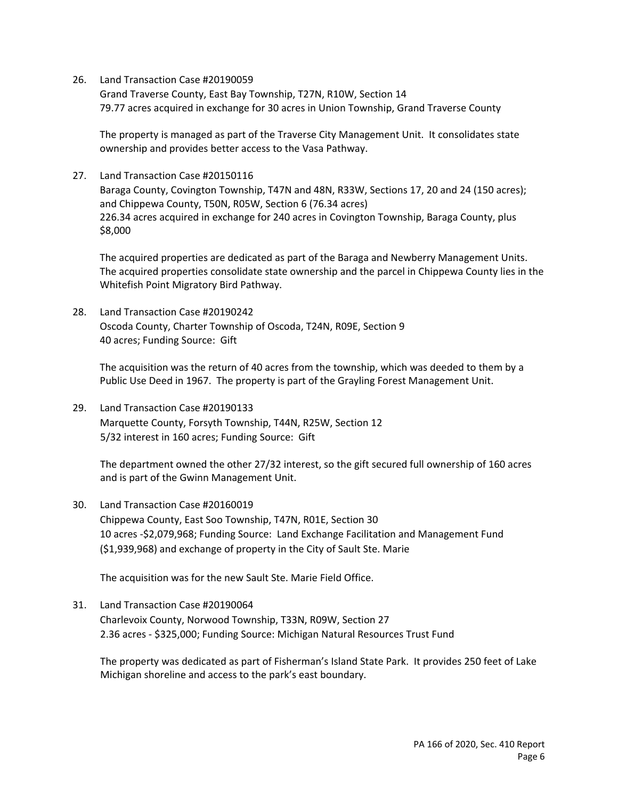Grand Traverse County, East Bay Township, T27N, R10W, Section 14 79.77 acres acquired in exchange for 30 acres in Union Township, Grand Traverse County

 The property is managed as part of the Traverse City Management Unit. It consolidates state ownership and provides better access to the Vasa Pathway.

 27. Land Transaction Case #20150116 Baraga County, Covington Township, T47N and 48N, R33W, Sections 17, 20 and 24 (150 acres); and Chippewa County, T50N, R05W, Section 6 (76.34 acres) 226.34 acres acquired in exchange for 240 acres in Covington Township, Baraga County, plus \$8,000

 The acquired properties are dedicated as part of the Baraga and Newberry Management Units. The acquired properties consolidate state ownership and the parcel in Chippewa County lies in the Whitefish Point Migratory Bird Pathway.

 28. Land Transaction Case #20190242 Oscoda County, Charter Township of Oscoda, T24N, R09E, Section 9 40 acres; Funding Source: Gift

 The acquisition was the return of 40 acres from the township, which was deeded to them by a Public Use Deed in 1967. The property is part of the Grayling Forest Management Unit.

 29. Land Transaction Case #20190133 Marquette County, Forsyth Township, T44N, R25W, Section 12 5/32 interest in 160 acres; Funding Source: Gift

 The department owned the other 27/32 interest, so the gift secured full ownership of 160 acres and is part of the Gwinn Management Unit.

 30. Land Transaction Case #20160019 Chippewa County, East Soo Township, T47N, R01E, Section 30 10 acres ‐\$2,079,968; Funding Source: Land Exchange Facilitation and Management Fund (\$1,939,968) and exchange of property in the City of Sault Ste. Marie

The acquisition was for the new Sault Ste. Marie Field Office.

 31. Land Transaction Case #20190064 Charlevoix County, Norwood Township, T33N, R09W, Section 27 2.36 acres ‐ \$325,000; Funding Source: Michigan Natural Resources Trust Fund

 The property was dedicated as part of Fisherman's Island State Park. It provides 250 feet of Lake Michigan shoreline and access to the park's east boundary.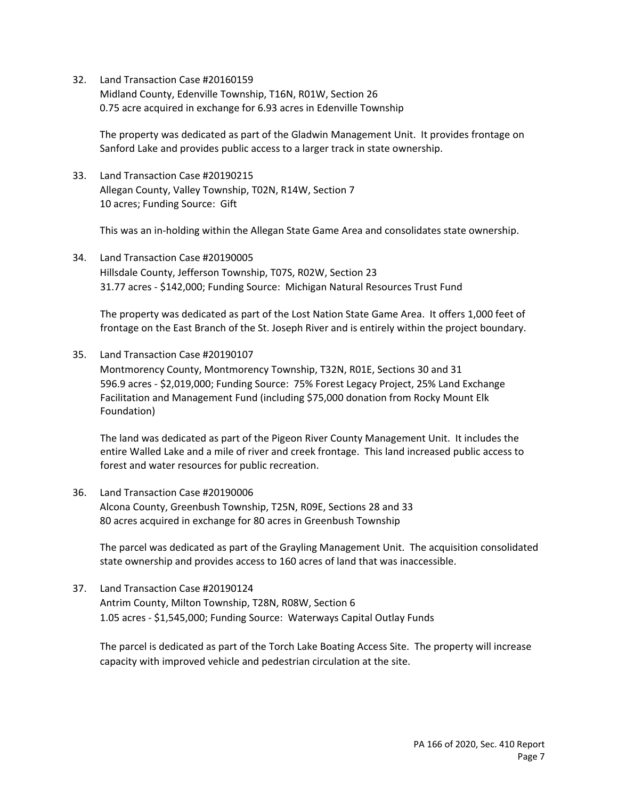Midland County, Edenville Township, T16N, R01W, Section 26 0.75 acre acquired in exchange for 6.93 acres in Edenville Township

 The property was dedicated as part of the Gladwin Management Unit. It provides frontage on Sanford Lake and provides public access to a larger track in state ownership.

 33. Land Transaction Case #20190215 Allegan County, Valley Township, T02N, R14W, Section 7 10 acres; Funding Source: Gift

This was an in‐holding within the Allegan State Game Area and consolidates state ownership.

 34. Land Transaction Case #20190005 Hillsdale County, Jefferson Township, T07S, R02W, Section 23 31.77 acres ‐ \$142,000; Funding Source: Michigan Natural Resources Trust Fund

 The property was dedicated as part of the Lost Nation State Game Area. It offers 1,000 feet of frontage on the East Branch of the St. Joseph River and is entirely within the project boundary.

35. Land Transaction Case #20190107

 Montmorency County, Montmorency Township, T32N, R01E, Sections 30 and 31 596.9 acres ‐ \$2,019,000; Funding Source: 75% Forest Legacy Project, 25% Land Exchange Facilitation and Management Fund (including \$75,000 donation from Rocky Mount Elk Foundation)

 The land was dedicated as part of the Pigeon River County Management Unit. It includes the entire Walled Lake and a mile of river and creek frontage. This land increased public access to forest and water resources for public recreation.

 36. Land Transaction Case #20190006 Alcona County, Greenbush Township, T25N, R09E, Sections 28 and 33 80 acres acquired in exchange for 80 acres in Greenbush Township

 The parcel was dedicated as part of the Grayling Management Unit. The acquisition consolidated state ownership and provides access to 160 acres of land that was inaccessible.

 37. Land Transaction Case #20190124 Antrim County, Milton Township, T28N, R08W, Section 6 1.05 acres ‐ \$1,545,000; Funding Source: Waterways Capital Outlay Funds

 The parcel is dedicated as part of the Torch Lake Boating Access Site. The property will increase capacity with improved vehicle and pedestrian circulation at the site.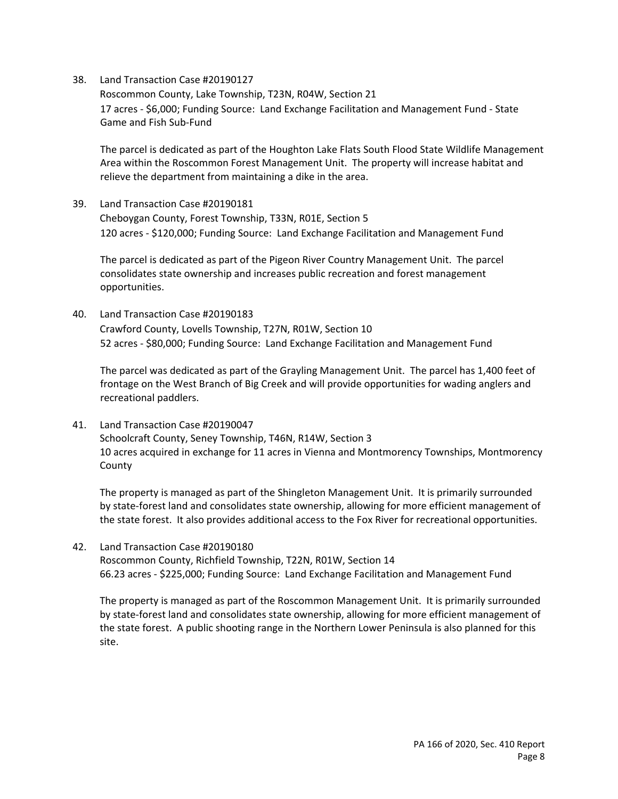Roscommon County, Lake Township, T23N, R04W, Section 21 17 acres ‐ \$6,000; Funding Source: Land Exchange Facilitation and Management Fund ‐ State Game and Fish Sub‐Fund

 The parcel is dedicated as part of the Houghton Lake Flats South Flood State Wildlife Management Area within the Roscommon Forest Management Unit. The property will increase habitat and relieve the department from maintaining a dike in the area.

 39. Land Transaction Case #20190181 Cheboygan County, Forest Township, T33N, R01E, Section 5 120 acres ‐ \$120,000; Funding Source: Land Exchange Facilitation and Management Fund

 The parcel is dedicated as part of the Pigeon River Country Management Unit. The parcel consolidates state ownership and increases public recreation and forest management opportunities.

 40. Land Transaction Case #20190183 Crawford County, Lovells Township, T27N, R01W, Section 10 52 acres ‐ \$80,000; Funding Source: Land Exchange Facilitation and Management Fund

 The parcel was dedicated as part of the Grayling Management Unit. The parcel has 1,400 feet of frontage on the West Branch of Big Creek and will provide opportunities for wading anglers and recreational paddlers.

 41. Land Transaction Case #20190047 Schoolcraft County, Seney Township, T46N, R14W, Section 3 10 acres acquired in exchange for 11 acres in Vienna and Montmorency Townships, Montmorency County

 The property is managed as part of the Shingleton Management Unit. It is primarily surrounded by state‐forest land and consolidates state ownership, allowing for more efficient management of the state forest. It also provides additional access to the Fox River for recreational opportunities.

 42. Land Transaction Case #20190180 Roscommon County, Richfield Township, T22N, R01W, Section 14 66.23 acres ‐ \$225,000; Funding Source: Land Exchange Facilitation and Management Fund

 The property is managed as part of the Roscommon Management Unit. It is primarily surrounded by state‐forest land and consolidates state ownership, allowing for more efficient management of the state forest. A public shooting range in the Northern Lower Peninsula is also planned for this site.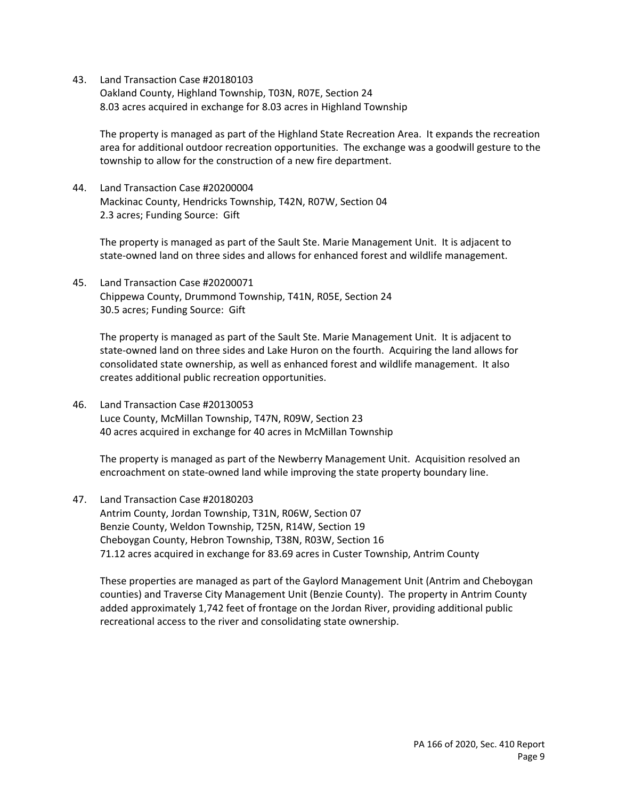Oakland County, Highland Township, T03N, R07E, Section 24 8.03 acres acquired in exchange for 8.03 acres in Highland Township

 The property is managed as part of the Highland State Recreation Area. It expands the recreation area for additional outdoor recreation opportunities. The exchange was a goodwill gesture to the township to allow for the construction of a new fire department.

 44. Land Transaction Case #20200004 Mackinac County, Hendricks Township, T42N, R07W, Section 04 2.3 acres; Funding Source: Gift

 The property is managed as part of the Sault Ste. Marie Management Unit. It is adjacent to state‐owned land on three sides and allows for enhanced forest and wildlife management.

 45. Land Transaction Case #20200071 Chippewa County, Drummond Township, T41N, R05E, Section 24 30.5 acres; Funding Source: Gift

 The property is managed as part of the Sault Ste. Marie Management Unit. It is adjacent to state‐owned land on three sides and Lake Huron on the fourth. Acquiring the land allows for consolidated state ownership, as well as enhanced forest and wildlife management. It also creates additional public recreation opportunities.

 46. Land Transaction Case #20130053 Luce County, McMillan Township, T47N, R09W, Section 23 40 acres acquired in exchange for 40 acres in McMillan Township

 The property is managed as part of the Newberry Management Unit. Acquisition resolved an encroachment on state‐owned land while improving the state property boundary line.

 47. Land Transaction Case #20180203 Antrim County, Jordan Township, T31N, R06W, Section 07 Benzie County, Weldon Township, T25N, R14W, Section 19 Cheboygan County, Hebron Township, T38N, R03W, Section 16 71.12 acres acquired in exchange for 83.69 acres in Custer Township, Antrim County

 These properties are managed as part of the Gaylord Management Unit (Antrim and Cheboygan counties) and Traverse City Management Unit (Benzie County). The property in Antrim County added approximately 1,742 feet of frontage on the Jordan River, providing additional public recreational access to the river and consolidating state ownership.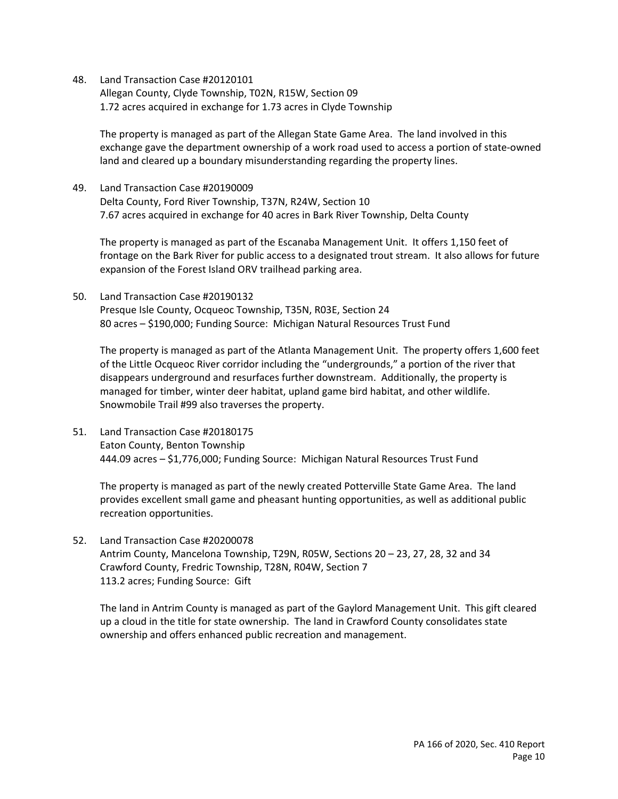Allegan County, Clyde Township, T02N, R15W, Section 09 1.72 acres acquired in exchange for 1.73 acres in Clyde Township

 The property is managed as part of the Allegan State Game Area. The land involved in this exchange gave the department ownership of a work road used to access a portion of state‐owned land and cleared up a boundary misunderstanding regarding the property lines.

 49. Land Transaction Case #20190009 Delta County, Ford River Township, T37N, R24W, Section 10 7.67 acres acquired in exchange for 40 acres in Bark River Township, Delta County

 The property is managed as part of the Escanaba Management Unit. It offers 1,150 feet of frontage on the Bark River for public access to a designated trout stream. It also allows for future expansion of the Forest Island ORV trailhead parking area.

 50. Land Transaction Case #20190132 Presque Isle County, Ocqueoc Township, T35N, R03E, Section 24 80 acres – \$190,000; Funding Source: Michigan Natural Resources Trust Fund

 The property is managed as part of the Atlanta Management Unit. The property offers 1,600 feet of the Little Ocqueoc River corridor including the "undergrounds," a portion of the river that disappears underground and resurfaces further downstream. Additionally, the property is managed for timber, winter deer habitat, upland game bird habitat, and other wildlife. Snowmobile Trail #99 also traverses the property.

 51. Land Transaction Case #20180175 Eaton County, Benton Township 444.09 acres – \$1,776,000; Funding Source: Michigan Natural Resources Trust Fund

 The property is managed as part of the newly created Potterville State Game Area. The land provides excellent small game and pheasant hunting opportunities, as well as additional public recreation opportunities.

 52. Land Transaction Case #20200078 Antrim County, Mancelona Township, T29N, R05W, Sections 20 – 23, 27, 28, 32 and 34 Crawford County, Fredric Township, T28N, R04W, Section 7 113.2 acres; Funding Source: Gift

 The land in Antrim County is managed as part of the Gaylord Management Unit. This gift cleared up a cloud in the title for state ownership. The land in Crawford County consolidates state ownership and offers enhanced public recreation and management.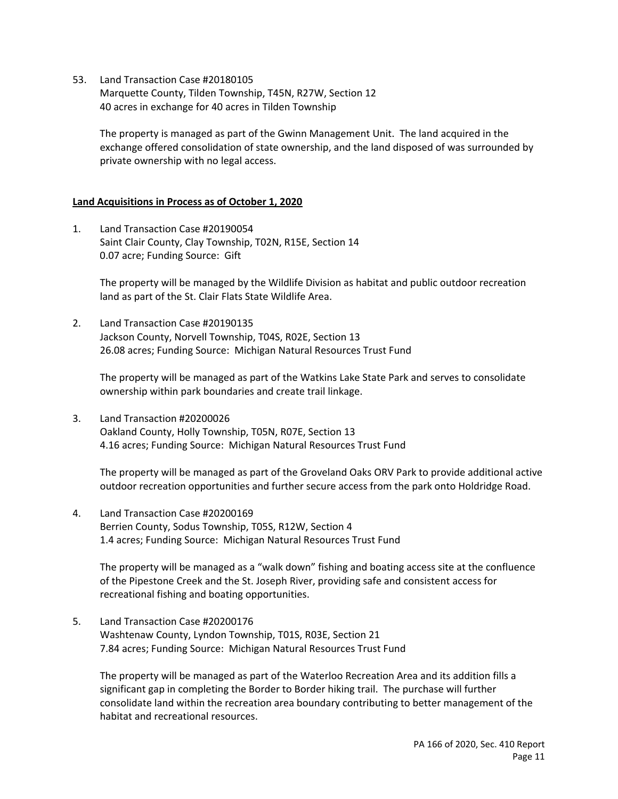53. Land Transaction Case #20180105 Marquette County, Tilden Township, T45N, R27W, Section 12 40 acres in exchange for 40 acres in Tilden Township

 The property is managed as part of the Gwinn Management Unit. The land acquired in the exchange offered consolidation of state ownership, and the land disposed of was surrounded by private ownership with no legal access.

### **Land Acquisitions in Process as of October 1, 2020**

 1. Land Transaction Case #20190054 Saint Clair County, Clay Township, T02N, R15E, Section 14 0.07 acre; Funding Source: Gift

 The property will be managed by the Wildlife Division as habitat and public outdoor recreation land as part of the St. Clair Flats State Wildlife Area.

 2. Land Transaction Case #20190135 Jackson County, Norvell Township, T04S, R02E, Section 13 26.08 acres; Funding Source: Michigan Natural Resources Trust Fund

 The property will be managed as part of the Watkins Lake State Park and serves to consolidate ownership within park boundaries and create trail linkage.

 3. Land Transaction #20200026 Oakland County, Holly Township, T05N, R07E, Section 13 4.16 acres; Funding Source: Michigan Natural Resources Trust Fund

 The property will be managed as part of the Groveland Oaks ORV Park to provide additional active outdoor recreation opportunities and further secure access from the park onto Holdridge Road.

 4. Land Transaction Case #20200169 Berrien County, Sodus Township, T05S, R12W, Section 4 1.4 acres; Funding Source: Michigan Natural Resources Trust Fund

 The property will be managed as a "walk down" fishing and boating access site at the confluence of the Pipestone Creek and the St. Joseph River, providing safe and consistent access for recreational fishing and boating opportunities.

 5. Land Transaction Case #20200176 Washtenaw County, Lyndon Township, T01S, R03E, Section 21 7.84 acres; Funding Source: Michigan Natural Resources Trust Fund

 The property will be managed as part of the Waterloo Recreation Area and its addition fills a significant gap in completing the Border to Border hiking trail. The purchase will further consolidate land within the recreation area boundary contributing to better management of the habitat and recreational resources.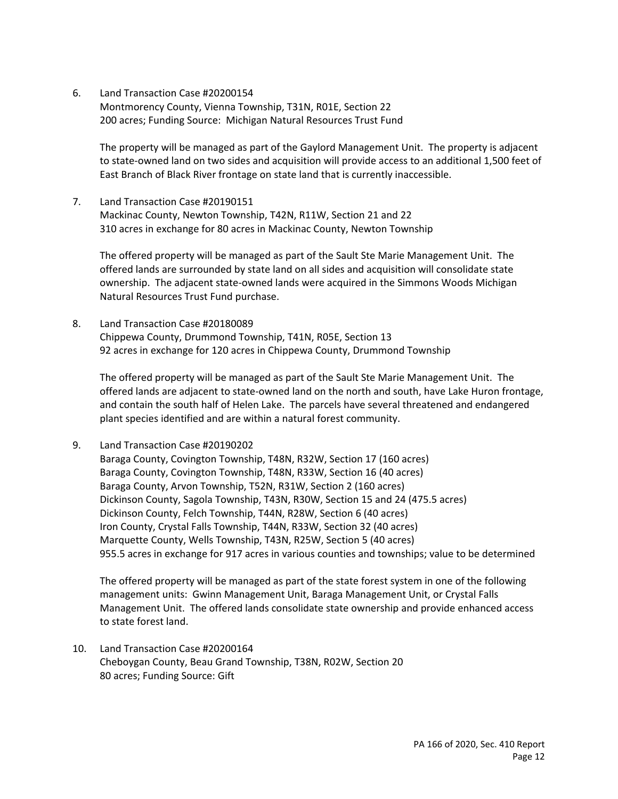6. Land Transaction Case #20200154 Montmorency County, Vienna Township, T31N, R01E, Section 22

200 acres; Funding Source: Michigan Natural Resources Trust Fund

 The property will be managed as part of the Gaylord Management Unit. The property is adjacent to state‐owned land on two sides and acquisition will provide access to an additional 1,500 feet of East Branch of Black River frontage on state land that is currently inaccessible.

 7. Land Transaction Case #20190151 Mackinac County, Newton Township, T42N, R11W, Section 21 and 22 310 acres in exchange for 80 acres in Mackinac County, Newton Township

 The offered property will be managed as part of the Sault Ste Marie Management Unit. The offered lands are surrounded by state land on all sides and acquisition will consolidate state ownership. The adjacent state‐owned lands were acquired in the Simmons Woods Michigan Natural Resources Trust Fund purchase.

 8. Land Transaction Case #20180089 Chippewa County, Drummond Township, T41N, R05E, Section 13 92 acres in exchange for 120 acres in Chippewa County, Drummond Township

 The offered property will be managed as part of the Sault Ste Marie Management Unit. The offered lands are adjacent to state‐owned land on the north and south, have Lake Huron frontage, and contain the south half of Helen Lake. The parcels have several threatened and endangered plant species identified and are within a natural forest community.

9. Land Transaction Case #20190202

 Baraga County, Covington Township, T48N, R32W, Section 17 (160 acres) Baraga County, Covington Township, T48N, R33W, Section 16 (40 acres) Baraga County, Arvon Township, T52N, R31W, Section 2 (160 acres) Dickinson County, Sagola Township, T43N, R30W, Section 15 and 24 (475.5 acres) Dickinson County, Felch Township, T44N, R28W, Section 6 (40 acres) Iron County, Crystal Falls Township, T44N, R33W, Section 32 (40 acres) Marquette County, Wells Township, T43N, R25W, Section 5 (40 acres) 955.5 acres in exchange for 917 acres in various counties and townships; value to be determined

 The offered property will be managed as part of the state forest system in one of the following management units: Gwinn Management Unit, Baraga Management Unit, or Crystal Falls Management Unit. The offered lands consolidate state ownership and provide enhanced access to state forest land.

 10. Land Transaction Case #20200164 Cheboygan County, Beau Grand Township, T38N, R02W, Section 20 80 acres; Funding Source: Gift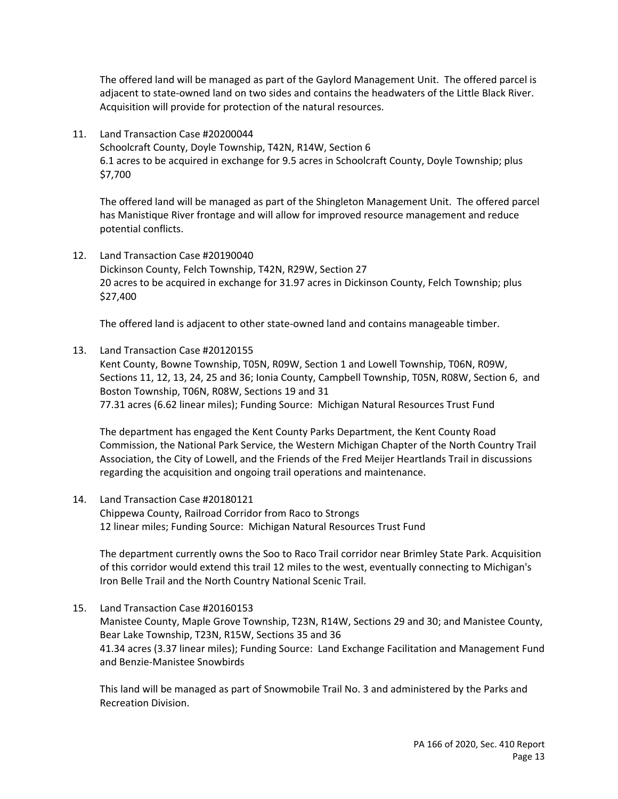The offered land will be managed as part of the Gaylord Management Unit. The offered parcel is adjacent to state‐owned land on two sides and contains the headwaters of the Little Black River. Acquisition will provide for protection of the natural resources.

 11. Land Transaction Case #20200044 Schoolcraft County, Doyle Township, T42N, R14W, Section 6 6.1 acres to be acquired in exchange for 9.5 acres in Schoolcraft County, Doyle Township; plus \$7,700

 The offered land will be managed as part of the Shingleton Management Unit. The offered parcel has Manistique River frontage and will allow for improved resource management and reduce potential conflicts.

 12. Land Transaction Case #20190040 Dickinson County, Felch Township, T42N, R29W, Section 27 20 acres to be acquired in exchange for 31.97 acres in Dickinson County, Felch Township; plus \$27,400

The offered land is adjacent to other state‐owned land and contains manageable timber.

#### 13. Land Transaction Case #20120155

 Kent County, Bowne Township, T05N, R09W, Section 1 and Lowell Township, T06N, R09W, Sections 11, 12, 13, 24, 25 and 36; Ionia County, Campbell Township, T05N, R08W, Section 6, and Boston Township, T06N, R08W, Sections 19 and 31 77.31 acres (6.62 linear miles); Funding Source: Michigan Natural Resources Trust Fund

 The department has engaged the Kent County Parks Department, the Kent County Road Commission, the National Park Service, the Western Michigan Chapter of the North Country Trail Association, the City of Lowell, and the Friends of the Fred Meijer Heartlands Trail in discussions regarding the acquisition and ongoing trail operations and maintenance.

## 14. Land Transaction Case #20180121

 Chippewa County, Railroad Corridor from Raco to Strongs 12 linear miles; Funding Source: Michigan Natural Resources Trust Fund

 The department currently owns the Soo to Raco Trail corridor near Brimley State Park. Acquisition of this corridor would extend this trail 12 miles to the west, eventually connecting to Michigan's Iron Belle Trail and the North Country National Scenic Trail.

 15. Land Transaction Case #20160153 Manistee County, Maple Grove Township, T23N, R14W, Sections 29 and 30; and Manistee County, Bear Lake Township, T23N, R15W, Sections 35 and 36 41.34 acres (3.37 linear miles); Funding Source: Land Exchange Facilitation and Management Fund and Benzie‐Manistee Snowbirds

 This land will be managed as part of Snowmobile Trail No. 3 and administered by the Parks and Recreation Division.